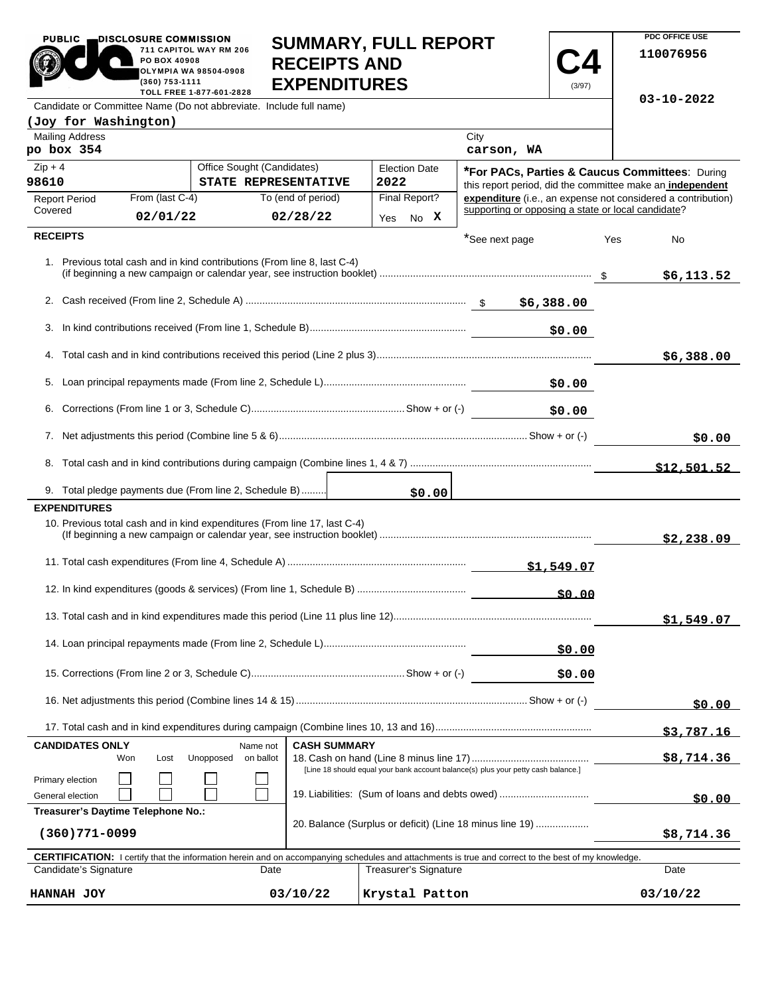| <b>PUBLIC</b><br>DISCLOSURE COMMISSION<br>PO BOX 40908<br>(360) 753-1111  | 711 CAPITOL WAY RM 206<br>OLYMPIA WA 98504-0908<br>TOLL FREE 1-877-601-2828 | <b>RECEIPTS AND</b><br><b>EXPENDITURES</b> | <b>SUMMARY, FULL REPORT</b> | (3/97)                                             | PDC OFFICE USE<br>110076956<br>$03 - 10 - 2022$              |
|---------------------------------------------------------------------------|-----------------------------------------------------------------------------|--------------------------------------------|-----------------------------|----------------------------------------------------|--------------------------------------------------------------|
| Candidate or Committee Name (Do not abbreviate. Include full name)        |                                                                             |                                            |                             |                                                    |                                                              |
| (Joy for Washington)                                                      |                                                                             |                                            |                             |                                                    |                                                              |
| <b>Mailing Address</b><br>po box 354                                      |                                                                             |                                            |                             | City<br>carson, WA                                 |                                                              |
| $Zip + 4$                                                                 | Office Sought (Candidates)                                                  |                                            | <b>Election Date</b>        |                                                    | *For PACs, Parties & Caucus Committees: During               |
| 98610                                                                     |                                                                             | STATE REPRESENTATIVE                       | 2022                        |                                                    | this report period, did the committee make an independent    |
| From (last C-4)<br><b>Report Period</b>                                   |                                                                             | To (end of period)                         | Final Report?               |                                                    | expenditure (i.e., an expense not considered a contribution) |
| Covered<br>02/01/22                                                       |                                                                             | 02/28/22                                   | Yes No X                    | supporting or opposing a state or local candidate? |                                                              |
| <b>RECEIPTS</b>                                                           |                                                                             |                                            |                             | *See next page                                     | Yes<br>No                                                    |
| 1. Previous total cash and in kind contributions (From line 8, last C-4)  |                                                                             |                                            |                             |                                                    | \$6,113.52                                                   |
|                                                                           |                                                                             |                                            |                             |                                                    |                                                              |
|                                                                           |                                                                             |                                            |                             | \$0.00                                             |                                                              |
|                                                                           |                                                                             |                                            |                             |                                                    | \$6,388.00                                                   |
|                                                                           |                                                                             |                                            |                             |                                                    |                                                              |
|                                                                           |                                                                             |                                            |                             | \$0.00                                             |                                                              |
|                                                                           |                                                                             |                                            |                             |                                                    | \$0.00                                                       |
|                                                                           |                                                                             |                                            |                             |                                                    | \$12.501.52                                                  |
| 9. Total pledge payments due (From line 2, Schedule B)                    |                                                                             |                                            | \$0.00                      |                                                    |                                                              |
| <b>EXPENDITURES</b>                                                       |                                                                             |                                            |                             |                                                    |                                                              |
| 10. Previous total cash and in kind expenditures (From line 17, last C-4) |                                                                             |                                            |                             |                                                    | \$2,238.09                                                   |
|                                                                           |                                                                             |                                            |                             |                                                    |                                                              |
|                                                                           |                                                                             |                                            |                             | \$0.00                                             |                                                              |
|                                                                           |                                                                             |                                            |                             |                                                    | \$1,549.07                                                   |
|                                                                           |                                                                             |                                            |                             | <u>\$0.00</u>                                      |                                                              |
|                                                                           |                                                                             |                                            |                             | \$0.00                                             |                                                              |
|                                                                           |                                                                             |                                            |                             |                                                    | \$0.00                                                       |
|                                                                           |                                                                             |                                            |                             |                                                    | \$3.787.16                                                   |

|                                      |     |      |           |           |                                                          |                                                                                                                                                            | S3,787.16 |  |  |
|--------------------------------------|-----|------|-----------|-----------|----------------------------------------------------------|------------------------------------------------------------------------------------------------------------------------------------------------------------|-----------|--|--|
| <b>CANDIDATES ONLY</b><br>Name not   |     |      |           |           | <b>CASH SUMMARY</b>                                      |                                                                                                                                                            |           |  |  |
|                                      | Won | Lost | Unopposed | on ballot |                                                          |                                                                                                                                                            |           |  |  |
| Primary election<br>General election |     |      |           |           |                                                          | [Line 18 should equal your bank account balance(s) plus your petty cash balance.]<br>19. Liabilities: (Sum of loans and debts owed)                        | \$0.00    |  |  |
| Treasurer's Daytime Telephone No.:   |     |      |           |           |                                                          |                                                                                                                                                            |           |  |  |
| (360)771-0099                        |     |      |           |           | 20. Balance (Surplus or deficit) (Line 18 minus line 19) | \$8,714.36                                                                                                                                                 |           |  |  |
|                                      |     |      |           |           |                                                          | <b>CERTIFICATION:</b> I certify that the information herein and on accompanying schedules and attachments is true and correct to the best of my knowledge. |           |  |  |
| Candidate's Signature                |     |      |           | Date      |                                                          | <b>Treasurer's Signature</b>                                                                                                                               | Date      |  |  |
| UANNAU JOV                           |     |      |           |           | 03/10/22<br>Ervetal Datton                               |                                                                                                                                                            | 03/10/22  |  |  |

| HANNAH JOY                         |  |  |      | 03/10/22                                                 | Krystal Patton                                                                                                                                             |  | 03/10/22 |
|------------------------------------|--|--|------|----------------------------------------------------------|------------------------------------------------------------------------------------------------------------------------------------------------------------|--|----------|
| Candidate's Signature              |  |  | Date |                                                          | <b>Treasurer's Signature</b>                                                                                                                               |  | Date     |
|                                    |  |  |      |                                                          | <b>CERTIFICATION:</b> I certify that the information herein and on accompanying schedules and attachments is true and correct to the best of my knowledge. |  |          |
| 360)771-0099)                      |  |  |      | 20. Balance (Surplus or deficit) (Line 18 minus line 19) | \$8,714.36                                                                                                                                                 |  |          |
| Treasurer's Daytime Telephone No.: |  |  |      |                                                          |                                                                                                                                                            |  |          |
| General election                   |  |  |      |                                                          | 19. Liabilities: (Sum of loans and debts owed)                                                                                                             |  | \$0.00   |
| Primary election                   |  |  |      |                                                          | [Line 18 should equal your bank account balance(s) plus your petty cash balance.]                                                                          |  |          |
|                                    |  |  |      |                                                          |                                                                                                                                                            |  | .        |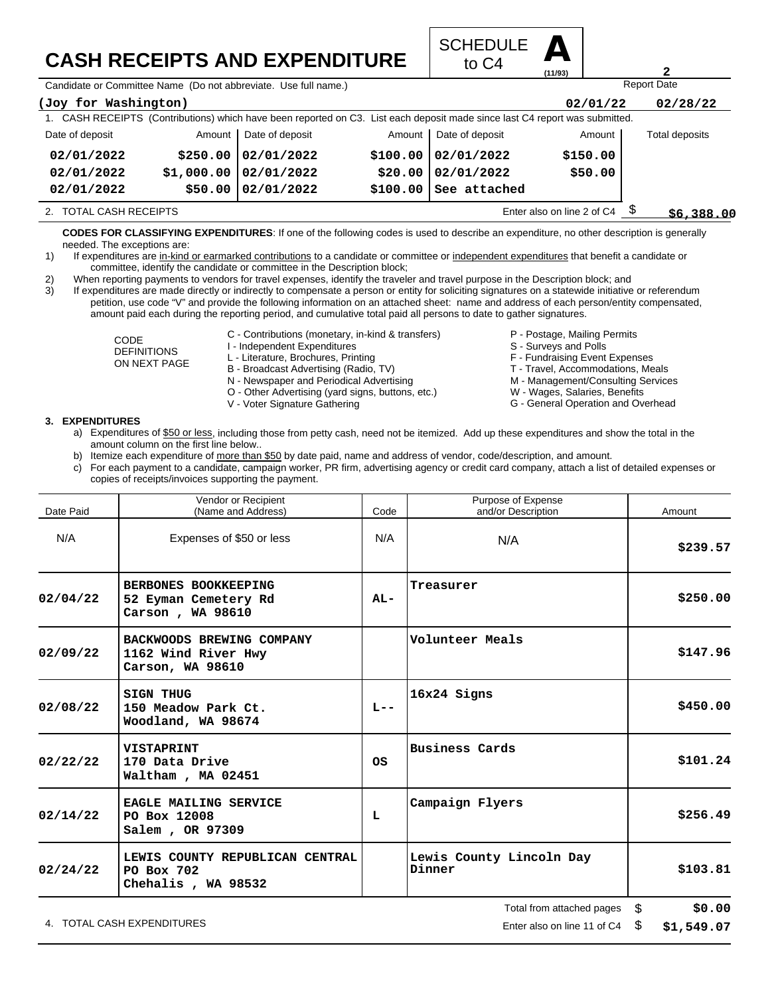## **CASH RECEIPTS AND EXPENDITURE**



Candidate or Committee Name (Do not abbreviate. Use full name.)

| (Joy for Washington)   |            |                 |          |                                                                                                                             | 02/01/22                   | 02/28/22       |  |
|------------------------|------------|-----------------|----------|-----------------------------------------------------------------------------------------------------------------------------|----------------------------|----------------|--|
|                        |            |                 |          | 1. CASH RECEIPTS (Contributions) which have been reported on C3. List each deposit made since last C4 report was submitted. |                            |                |  |
| Date of deposit        | Amount     | Date of deposit | Amount   | Date of deposit                                                                                                             | Amount                     | Total deposits |  |
| 02/01/2022             | \$250.00   | 02/01/2022      |          | \$100.00   02/01/2022                                                                                                       | \$150.00                   |                |  |
| 02/01/2022             | \$1,000.00 | 02/01/2022      |          | \$20.00   02/01/2022                                                                                                        | \$50.00                    |                |  |
| 02/01/2022             | \$50.00    | 02/01/2022      | \$100.00 | See attached                                                                                                                |                            |                |  |
| 2. TOTAL CASH RECEIPTS |            |                 |          |                                                                                                                             | Enter also on line 2 of C4 | \$6,388.00     |  |

**CODES FOR CLASSIFYING EXPENDITURES**: If one of the following codes is used to describe an expenditure, no other description is generally needed. The exceptions are:

1) If expenditures are in-kind or earmarked contributions to a candidate or committee or independent expenditures that benefit a candidate or committee, identify the candidate or committee in the Description block;

2) When reporting payments to vendors for travel expenses, identify the traveler and travel purpose in the Description block; and

3) If expenditures are made directly or indirectly to compensate a person or entity for soliciting signatures on a statewide initiative or referendum petition, use code "V" and provide the following information on an attached sheet: name and address of each person/entity compensated, amount paid each during the reporting period, and cumulative total paid all persons to date to gather signatures.

> CODE DEFINITIONS ON NEXT PAGE

- C Contributions (monetary, in-kind & transfers)
- I Independent Expenditures
- L Literature, Brochures, Printing
- B Broadcast Advertising (Radio, TV)
- N Newspaper and Periodical Advertising
- O Other Advertising (yard signs, buttons, etc.)
- V Voter Signature Gathering
- P Postage, Mailing Permits
- S Surveys and Polls
- 
- F Fundraising Event Expenses
- T Travel, Accommodations, Meals

Report Date

**2**

- M Management/Consulting Services W - Wages, Salaries, Benefits
- G General Operation and Overhead

- **3. EXPENDITURES**
	- a) Expenditures of \$50 or less, including those from petty cash, need not be itemized. Add up these expenditures and show the total in the amount column on the first line below..
	- b) Itemize each expenditure of more than \$50 by date paid, name and address of vendor, code/description, and amount.
	- c) For each payment to a candidate, campaign worker, PR firm, advertising agency or credit card company, attach a list of detailed expenses or copies of receipts/invoices supporting the payment.

| Date Paid | Vendor or Recipient<br>(Name and Address)                            | Code    | Purpose of Expense<br>and/or Description | Amount       |
|-----------|----------------------------------------------------------------------|---------|------------------------------------------|--------------|
| N/A       | Expenses of \$50 or less                                             | N/A     | N/A                                      | \$239.57     |
| 02/04/22  | BERBONES BOOKKEEPING<br>52 Eyman Cemetery Rd<br>Carson, WA 98610     | $AL-$   | Treasurer                                | \$250.00     |
| 02/09/22  | BACKWOODS BREWING COMPANY<br>1162 Wind River Hwy<br>Carson, WA 98610 |         | Volunteer Meals                          | \$147.96     |
| 02/08/22  | <b>SIGN THUG</b><br>150 Meadow Park Ct.<br>Woodland, WA 98674        | $L = -$ | 16x24 Signs                              | \$450.00     |
| 02/22/22  | <b>VISTAPRINT</b><br>170 Data Drive<br>Waltham, MA 02451             | OS      | <b>Business Cards</b>                    | \$101.24     |
| 02/14/22  | EAGLE MAILING SERVICE<br>PO Box 12008<br>Salem, OR 97309             | L       | Campaign Flyers                          | \$256.49     |
| 02/24/22  | LEWIS COUNTY REPUBLICAN CENTRAL<br>PO Box 702<br>Chehalis, WA 98532  |         | Lewis County Lincoln Day<br>Dinner       | \$103.81     |
|           |                                                                      |         | Total from attached pages                | \$<br>\$0.00 |

4. TOTAL CASH EXPENDITURES **EXAMPLE 2008** 2012 12:04 TOTAL CASH Experiment 21 of C4 \$